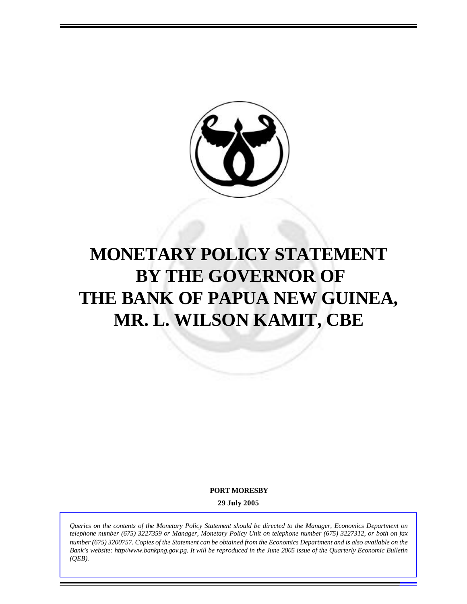

# **MONETARY POLICY STATEMENT BY THE GOVERNOR OF THE BANK OF PAPUA NEW GUINEA, MR. L. WILSON KAMIT, CBE**

**PORT MORESBY**

**29 July 2005**

*Queries on the contents of the Monetary Policy Statement should be directed to the Manager, Economics Department on telephone number (675) 3227359 or Manager, Monetary Policy Unit on telephone number (675) 3227312, or both on fax number (675) 3200757. Copies of the Statement can be obtained from the Economics Department and is also available on the Bank's website: http//www.bankpng.gov.pg. It will be reproduced in the June 2005 issue of the Quarterly Economic Bulletin (QEB).*

1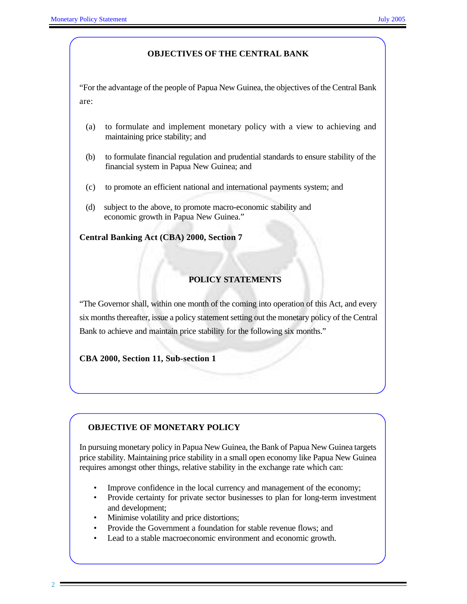# **OBJECTIVES OF THE CENTRAL BANK**

"For the advantage of the people of Papua New Guinea, the objectives of the Central Bank are:

- (a) to formulate and implement monetary policy with a view to achieving and maintaining price stability; and
- (b) to formulate financial regulation and prudential standards to ensure stability of the financial system in Papua New Guinea; and
- (c) to promote an efficient national and international payments system; and
- (d) subject to the above, to promote macro-economic stability and economic growth in Papua New Guinea."

**Central Banking Act (CBA) 2000, Section 7**

# **POLICY STATEMENTS**

"The Governor shall, within one month of the coming into operation of this Act, and every six months thereafter, issue a policy statement setting out the monetary policy of the Central Bank to achieve and maintain price stability for the following six months."

**CBA 2000, Section 11, Sub-section 1**

# **OBJECTIVE OF MONETARY POLICY**

In pursuing monetary policy in Papua New Guinea, the Bank of Papua New Guinea targets price stability. Maintaining price stability in a small open economy like Papua New Guinea requires amongst other things, relative stability in the exchange rate which can:

- Improve confidence in the local currency and management of the economy;
- Provide certainty for private sector businesses to plan for long-term investment and development;
- Minimise volatility and price distortions;
- Provide the Government a foundation for stable revenue flows; and
- Lead to a stable macroeconomic environment and economic growth.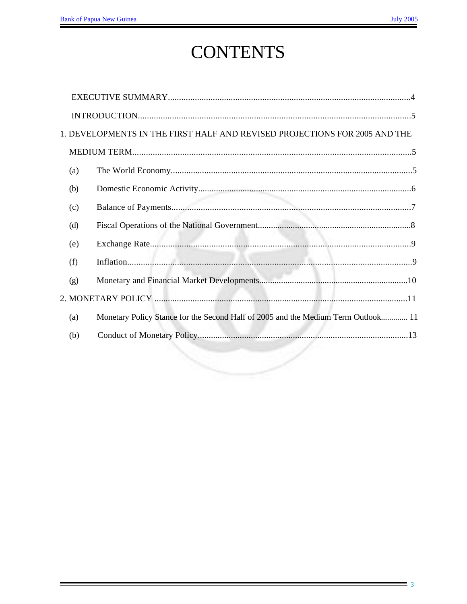# **CONTENTS**

|     | 1. DEVELOPMENTS IN THE FIRST HALF AND REVISED PROJECTIONS FOR 2005 AND THE        |  |
|-----|-----------------------------------------------------------------------------------|--|
|     |                                                                                   |  |
| (a) |                                                                                   |  |
| (b) |                                                                                   |  |
| (c) |                                                                                   |  |
| (d) |                                                                                   |  |
| (e) |                                                                                   |  |
| (f) |                                                                                   |  |
| (g) |                                                                                   |  |
|     |                                                                                   |  |
| (a) | Monetary Policy Stance for the Second Half of 2005 and the Medium Term Outlook 11 |  |
| (b) |                                                                                   |  |
|     |                                                                                   |  |
|     |                                                                                   |  |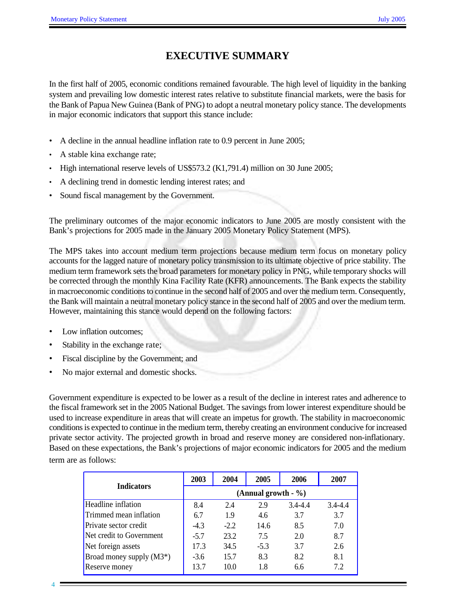# **EXECUTIVE SUMMARY**

In the first half of 2005, economic conditions remained favourable. The high level of liquidity in the banking system and prevailing low domestic interest rates relative to substitute financial markets, were the basis for the Bank of Papua New Guinea (Bank of PNG) to adopt a neutral monetary policy stance. The developments in major economic indicators that support this stance include:

- A decline in the annual headline inflation rate to 0.9 percent in June 2005;
- A stable kina exchange rate;
- High international reserve levels of US\$573.2 (K1,791.4) million on 30 June 2005;
- A declining trend in domestic lending interest rates; and
- Sound fiscal management by the Government.

The preliminary outcomes of the major economic indicators to June 2005 are mostly consistent with the Bank's projections for 2005 made in the January 2005 Monetary Policy Statement (MPS).

The MPS takes into account medium term projections because medium term focus on monetary policy accounts for the lagged nature of monetary policy transmission to its ultimate objective of price stability. The medium term framework sets the broad parameters for monetary policy in PNG, while temporary shocks will be corrected through the monthly Kina Facility Rate (KFR) announcements. The Bank expects the stability in macroeconomic conditions to continue in the second half of 2005 and over the medium term. Consequently, the Bank will maintain a neutral monetary policy stance in the second half of 2005 and over the medium term. However, maintaining this stance would depend on the following factors:

- Low inflation outcomes;
- Stability in the exchange rate;
- Fiscal discipline by the Government; and
- No major external and domestic shocks.

Government expenditure is expected to be lower as a result of the decline in interest rates and adherence to the fiscal framework set in the 2005 National Budget. The savings from lower interest expenditure should be used to increase expenditure in areas that will create an impetus for growth. The stability in macroeconomic conditions is expected to continue in the medium term, thereby creating an environment conducive for increased private sector activity. The projected growth in broad and reserve money are considered non-inflationary. Based on these expectations, the Bank's projections of major economic indicators for 2005 and the medium term are as follows:

|                             | 2003                  | 2004   | 2005   | 2006        | 2007        |  |  |  |  |
|-----------------------------|-----------------------|--------|--------|-------------|-------------|--|--|--|--|
| <b>Indicators</b>           | (Annual growth $-$ %) |        |        |             |             |  |  |  |  |
| Headline inflation          | 8.4                   | 2.4    | 2.9    | $3.4 - 4.4$ | $3.4 - 4.4$ |  |  |  |  |
| Trimmed mean inflation      | 6.7                   | 1.9    | 4.6    | 3.7         | 3.7         |  |  |  |  |
| Private sector credit       | $-4.3$                | $-2.2$ | 14.6   | 8.5         | 7.0         |  |  |  |  |
| Net credit to Government    | $-5.7$                | 23.2   | 7.5    | 2.0         | 8.7         |  |  |  |  |
| Net foreign assets          | 17.3                  | 34.5   | $-5.3$ | 3.7         | 2.6         |  |  |  |  |
| Broad money supply $(M3^*)$ | $-3.6$                | 15.7   | 8.3    | 8.2         | 8.1         |  |  |  |  |
| Reserve money               | 13.7                  | 10.0   | 1.8    | 6.6         | 7.2         |  |  |  |  |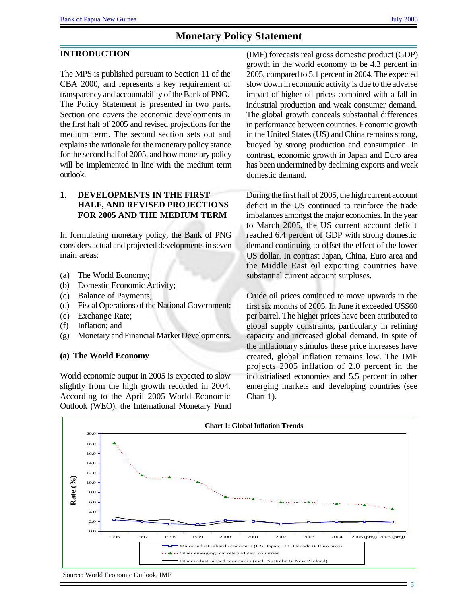#### **INTRODUCTION**

The MPS is published pursuant to Section 11 of the CBA 2000, and represents a key requirement of transparency and accountability of the Bank of PNG. The Policy Statement is presented in two parts. Section one covers the economic developments in the first half of 2005 and revised projections for the medium term. The second section sets out and explains the rationale for the monetary policy stance for the second half of 2005, and how monetary policy will be implemented in line with the medium term outlook.

# **1. DEVELOPMENTS IN THE FIRST HALF, AND REVISED PROJECTIONS FOR 2005 AND THE MEDIUM TERM**

In formulating monetary policy, the Bank of PNG considers actual and projected developments in seven main areas:

- (a) The World Economy;
- (b) Domestic Economic Activity;
- (c) Balance of Payments;
- (d) Fiscal Operations of the National Government;
- (e) Exchange Rate;
- (f) Inflation; and
- (g) Monetary and Financial Market Developments.

#### **(a) The World Economy**

World economic output in 2005 is expected to slow slightly from the high growth recorded in 2004. According to the April 2005 World Economic Outlook (WEO), the International Monetary Fund (IMF) forecasts real gross domestic product (GDP) growth in the world economy to be 4.3 percent in 2005, compared to 5.1 percent in 2004. The expected slow down in economic activity is due to the adverse impact of higher oil prices combined with a fall in industrial production and weak consumer demand. The global growth conceals substantial differences in performance between countries. Economic growth in the United States (US) and China remains strong, buoyed by strong production and consumption. In contrast, economic growth in Japan and Euro area has been undermined by declining exports and weak domestic demand.

During the first half of 2005, the high current account deficit in the US continued to reinforce the trade imbalances amongst the major economies. In the year to March 2005, the US current account deficit reached 6.4 percent of GDP with strong domestic demand continuing to offset the effect of the lower US dollar. In contrast Japan, China, Euro area and the Middle East oil exporting countries have substantial current account surpluses.

Crude oil prices continued to move upwards in the first six months of 2005. In June it exceeded US\$60 per barrel. The higher prices have been attributed to global supply constraints, particularly in refining capacity and increased global demand. In spite of the inflationary stimulus these price increases have created, global inflation remains low. The IMF projects 2005 inflation of 2.0 percent in the industrialised economies and 5.5 percent in other emerging markets and developing countries (see Chart 1).



Source: World Economic Outlook, IMF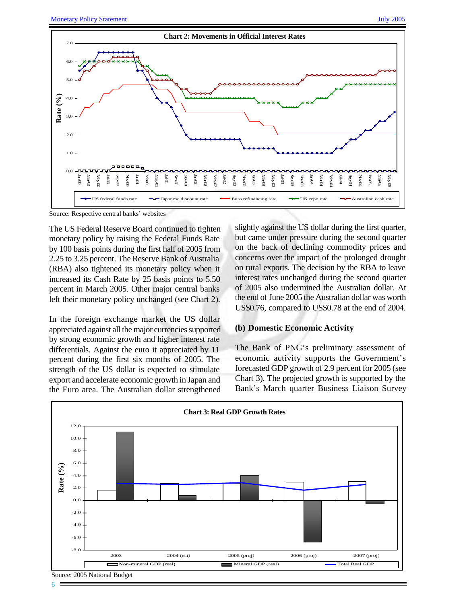

The US Federal Reserve Board continued to tighten monetary policy by raising the Federal Funds Rate by 100 basis points during the first half of 2005 from 2.25 to 3.25 percent. The Reserve Bank of Australia (RBA) also tightened its monetary policy when it increased its Cash Rate by 25 basis points to 5.50 percent in March 2005. Other major central banks left their monetary policy unchanged (see Chart 2).

In the foreign exchange market the US dollar appreciated against all the major currencies supported by strong economic growth and higher interest rate differentials. Against the euro it appreciated by 11 percent during the first six months of 2005. The strength of the US dollar is expected to stimulate export and accelerate economic growth in Japan and the Euro area. The Australian dollar strengthened

slightly against the US dollar during the first quarter, but came under pressure during the second quarter on the back of declining commodity prices and concerns over the impact of the prolonged drought on rural exports. The decision by the RBA to leave interest rates unchanged during the second quarter of 2005 also undermined the Australian dollar. At the end of June 2005 the Australian dollar was worth US\$0.76, compared to US\$0.78 at the end of 2004.

#### **(b) Domestic Economic Activity**

The Bank of PNG's preliminary assessment of economic activity supports the Government's forecasted GDP growth of 2.9 percent for 2005 (see Chart 3). The projected growth is supported by the Bank's March quarter Business Liaison Survey

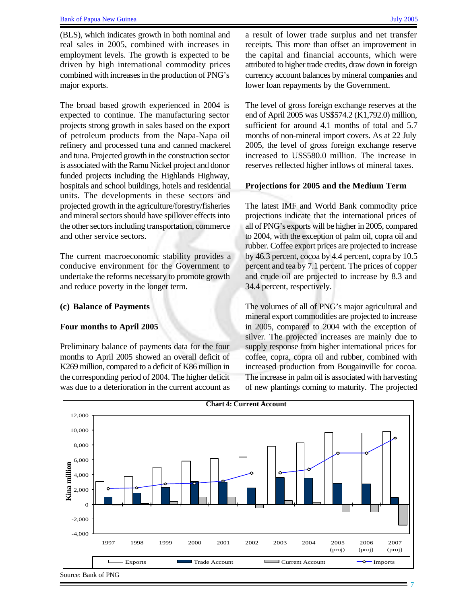(BLS), which indicates growth in both nominal and real sales in 2005, combined with increases in employment levels. The growth is expected to be driven by high international commodity prices combined with increases in the production of PNG's major exports.

The broad based growth experienced in 2004 is expected to continue. The manufacturing sector projects strong growth in sales based on the export of petroleum products from the Napa-Napa oil refinery and processed tuna and canned mackerel and tuna. Projected growth in the construction sector is associated with the Ramu Nickel project and donor funded projects including the Highlands Highway, hospitals and school buildings, hotels and residential units. The developments in these sectors and projected growth in the agriculture/forestry/fisheries and mineral sectors should have spillover effects into the other sectors including transportation, commerce and other service sectors.

The current macroeconomic stability provides a conducive environment for the Government to undertake the reforms necessary to promote growth and reduce poverty in the longer term.

#### **(c) Balance of Payments**

### **Four months to April 2005**

Preliminary balance of payments data for the four months to April 2005 showed an overall deficit of K269 million, compared to a deficit of K86 million in the corresponding period of 2004. The higher deficit was due to a deterioration in the current account as a result of lower trade surplus and net transfer receipts. This more than offset an improvement in the capital and financial accounts, which were attributed to higher trade credits, draw down in foreign currency account balances by mineral companies and lower loan repayments by the Government.

The level of gross foreign exchange reserves at the end of April 2005 was US\$574.2 (K1,792.0) million, sufficient for around 4.1 months of total and 5.7 months of non-mineral import covers. As at 22 July 2005, the level of gross foreign exchange reserve increased to US\$580.0 million. The increase in reserves reflected higher inflows of mineral taxes.

#### **Projections for 2005 and the Medium Term**

The latest IMF and World Bank commodity price projections indicate that the international prices of all of PNG's exports will be higher in 2005, compared to 2004, with the exception of palm oil, copra oil and rubber. Coffee export prices are projected to increase by 46.3 percent, cocoa by 4.4 percent, copra by 10.5 percent and tea by 7.1 percent. The prices of copper and crude oil are projected to increase by 8.3 and 34.4 percent, respectively.

The volumes of all of PNG's major agricultural and mineral export commodities are projected to increase in 2005, compared to 2004 with the exception of silver. The projected increases are mainly due to supply response from higher international prices for coffee, copra, copra oil and rubber, combined with increased production from Bougainville for cocoa. The increase in palm oil is associated with harvesting of new plantings coming to maturity. The projected

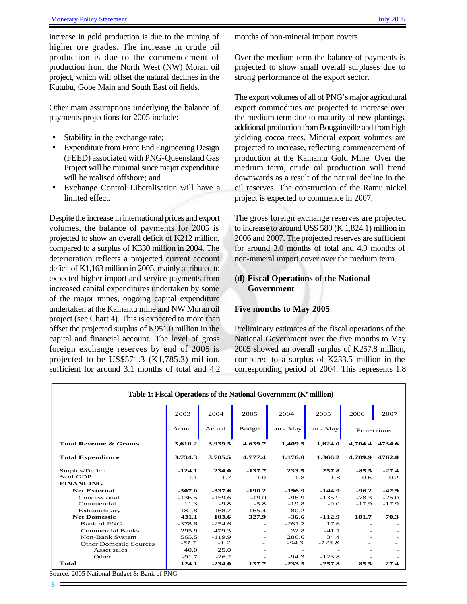increase in gold production is due to the mining of higher ore grades. The increase in crude oil production is due to the commencement of production from the North West (NW) Moran oil project, which will offset the natural declines in the Kutubu, Gobe Main and South East oil fields.

Other main assumptions underlying the balance of payments projections for 2005 include:

- Stability in the exchange rate;
- Expenditure from Front End Engineering Design (FEED) associated with PNG-Queensland Gas Project will be minimal since major expenditure will be realised offshore; and
- Exchange Control Liberalisation will have a limited effect.

Despite the increase in international prices and export volumes, the balance of payments for 2005 is projected to show an overall deficit of K212 million, compared to a surplus of K330 million in 2004. The deterioration reflects a projected current account deficit of K1,163 million in 2005, mainly attributed to expected higher import and service payments from increased capital expenditures undertaken by some of the major mines, ongoing capital expenditure undertaken at the Kainantu mine and NW Moran oil project (see Chart 4). This is expected to more than offset the projected surplus of K951.0 million in the capital and financial account. The level of gross foreign exchange reserves by end of 2005 is projected to be US\$571.3 (K1,785.3) million, sufficient for around 3.1 months of total and 4.2

months of non-mineral import covers.

Over the medium term the balance of payments is projected to show small overall surpluses due to strong performance of the export sector.

The export volumes of all of PNG's major agricultural export commodities are projected to increase over the medium term due to maturity of new plantings, additional production from Bougainville and from high yielding cocoa trees. Mineral export volumes are projected to increase, reflecting commencement of production at the Kainantu Gold Mine. Over the medium term, crude oil production will trend downwards as a result of the natural decline in the oil reserves. The construction of the Ramu nickel project is expected to commence in 2007.

The gross foreign exchange reserves are projected to increase to around US\$ 580 (K 1,824.1) million in 2006 and 2007. The projected reserves are sufficient for around 3.0 months of total and 4.0 months of non-mineral import cover over the medium term.

# **(d) Fiscal Operations of the National Government**

### **Five months to May 2005**

Preliminary estimates of the fiscal operations of the National Government over the five months to May 2005 showed an overall surplus of K257.8 million, compared to a surplus of K233.5 million in the corresponding period of 2004. This represents 1.8

| Table 1: Fiscal Operations of the National Government (K' million)<br>2003<br>2005<br>2004<br>2004<br>2005<br>2006<br>2007<br><b>Budget</b><br>Jan - May<br>Jan - May<br>Actual<br>Actual<br>Projections |          |          |          |                          |          |                          |                |  |
|----------------------------------------------------------------------------------------------------------------------------------------------------------------------------------------------------------|----------|----------|----------|--------------------------|----------|--------------------------|----------------|--|
|                                                                                                                                                                                                          |          |          |          |                          |          |                          |                |  |
|                                                                                                                                                                                                          |          |          |          |                          |          |                          |                |  |
| <b>Total Revenue &amp; Grants</b>                                                                                                                                                                        | 3.610.2  | 3.939.5  | 4.639.7  | 1.409.5                  | 1,624.0  |                          | 4.704.4 4734.6 |  |
| <b>Total Expenditure</b>                                                                                                                                                                                 | 3.734.3  | 3.705.5  | 4.777.4  | 1.176.0                  | 1.366.2  | 4.789.9                  | 4762.0         |  |
| Surplus/Deficit                                                                                                                                                                                          | $-124.1$ | 234.0    | $-137.7$ | 233.5                    | 257.8    | $-85.5$                  | $-27.4$        |  |
| % of GDP                                                                                                                                                                                                 | $-1.1$   | 1.7      | $-1.0$   | $-1.8$                   | 1.8      | $-0.6$                   | $-0.2$         |  |
| <b>FINANCING</b>                                                                                                                                                                                         |          |          |          |                          |          |                          |                |  |
| <b>Net External</b>                                                                                                                                                                                      | $-307.0$ | $-337.6$ | $-190.2$ | -196.9                   | $-144.9$ | $-96.2$                  | $-42.9$        |  |
| Concessional                                                                                                                                                                                             | $-136.5$ | $-159.6$ | $-19.0$  | $-96.9$                  | $-135.9$ | $-78.3$                  | $-25.0$        |  |
| Commercial                                                                                                                                                                                               | 11.3     | $-9.8$   | $-5.8$   | $-19.8$                  | $-9.0$   | $-17.9$                  | $-17.9$        |  |
| Extraordinary                                                                                                                                                                                            | $-181.8$ | $-168.2$ | $-165.4$ | $-80.2$                  |          |                          |                |  |
| <b>Net Domestic</b>                                                                                                                                                                                      | 431.1    | 103.6    | 327.9    | $-36.6$                  | $-112.9$ | 181.7                    | 70.3           |  |
| <b>Bank of PNG</b>                                                                                                                                                                                       | $-378.6$ | $-254.6$ | ٠        | $-261.7$                 | 17.6     | $\overline{\phantom{a}}$ |                |  |
| <b>Commercial Banks</b>                                                                                                                                                                                  | 295.9    | 479.3    |          | 32.8                     | $-41.1$  | $\overline{\phantom{a}}$ |                |  |
| <b>Non-Bank System</b>                                                                                                                                                                                   | 565.5    | $-119.9$ | -        | 286.6                    | 34.4     |                          |                |  |
| <b>Other Domestic Sources</b>                                                                                                                                                                            | $-51.7$  | $-1.2$   |          | $-94.3$                  | $-123.8$ |                          |                |  |
| Asset sales                                                                                                                                                                                              | 40.0     | 25.0     | -        | $\overline{\phantom{a}}$ |          | $\overline{\phantom{a}}$ |                |  |
| Other                                                                                                                                                                                                    | $-91.7$  | $-26.2$  | -        | $-94.3$                  | $-123.8$ |                          |                |  |
| <b>Total</b>                                                                                                                                                                                             | 124.1    | $-234.0$ | 137.7    | $-233.5$                 | $-257.8$ | 85.5                     | 27.4           |  |

Source: 2005 National Budget & Bank of PNG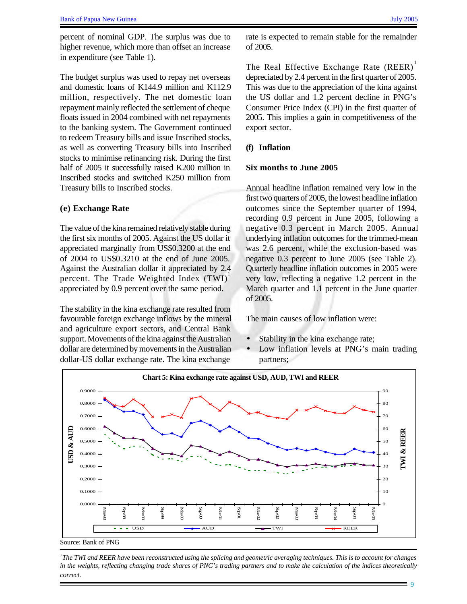percent of nominal GDP. The surplus was due to higher revenue, which more than offset an increase in expenditure (see Table 1).

The budget surplus was used to repay net overseas and domestic loans of K144.9 million and K112.9 million, respectively. The net domestic loan repayment mainly reflected the settlement of cheque floats issued in 2004 combined with net repayments to the banking system. The Government continued to redeem Treasury bills and issue Inscribed stocks, as well as converting Treasury bills into Inscribed stocks to minimise refinancing risk. During the first half of 2005 it successfully raised K200 million in Inscribed stocks and switched K250 million from Treasury bills to Inscribed stocks.

#### **(e) Exchange Rate**

The value of the kina remained relatively stable during the first six months of 2005. Against the US dollar it appreciated marginally from US\$0.3200 at the end of 2004 to US\$0.3210 at the end of June 2005. Against the Australian dollar it appreciated by 2.4 percent. The Trade Weighted Index (TWI)<sup>1</sup> appreciated by 0.9 percent over the same period.

The stability in the kina exchange rate resulted from favourable foreign exchange inflows by the mineral and agriculture export sectors, and Central Bank support. Movements of the kina against the Australian dollar are determined by movements in the Australian dollar-US dollar exchange rate. The kina exchange

rate is expected to remain stable for the remainder of 2005.

The Real Effective Exchange Rate (REER)<sup>1</sup> depreciated by 2.4 percent in the first quarter of 2005. This was due to the appreciation of the kina against the US dollar and 1.2 percent decline in PNG's Consumer Price Index (CPI) in the first quarter of 2005. This implies a gain in competitiveness of the export sector.

### **(f) Inflation**

#### **Six months to June 2005**

Annual headline inflation remained very low in the first two quarters of 2005, the lowest headline inflation outcomes since the September quarter of 1994, recording 0.9 percent in June 2005, following a negative 0.3 percent in March 2005. Annual underlying inflation outcomes for the trimmed-mean was 2.6 percent, while the exclusion-based was negative 0.3 percent to June 2005 (see Table 2). Quarterly headline inflation outcomes in 2005 were very low, reflecting a negative 1.2 percent in the March quarter and 1.1 percent in the June quarter of 2005.

The main causes of low inflation were:

- Stability in the kina exchange rate;
- Low inflation levels at PNG's main trading partners;



Source: Bank of PNG

*<sup>1</sup>The TWI and REER have been reconstructed using the splicing and geometric averaging techniques. This is to account for changes in the weights, reflecting changing trade shares of PNG's trading partners and to make the calculation of the indices theoretically correct.*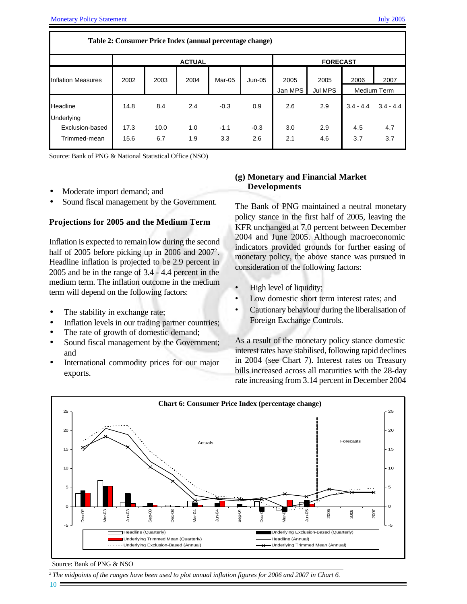| Table 2: Consumer Price Index (annual percentage change) |      |      |               |        |                 |         |         |             |             |  |
|----------------------------------------------------------|------|------|---------------|--------|-----------------|---------|---------|-------------|-------------|--|
|                                                          |      |      | <b>ACTUAL</b> |        | <b>FORECAST</b> |         |         |             |             |  |
| <b>Inflation Measures</b>                                | 2002 | 2003 | 2004          | Mar-05 | $Jun-05$        | 2005    | 2005    | 2006        | 2007        |  |
|                                                          |      |      |               |        |                 | Jan MPS | Jul MPS |             | Medium Term |  |
| Headline<br>Underlying                                   | 14.8 | 8.4  | 2.4           | $-0.3$ | 0.9             | 2.6     | 2.9     | $3.4 - 4.4$ | $3.4 - 4.4$ |  |
| Exclusion-based                                          | 17.3 | 10.0 | 1.0           | $-1.1$ | $-0.3$          | 3.0     | 2.9     | 4.5         | 4.7         |  |
| Trimmed-mean                                             | 15.6 | 6.7  | 1.9           | 3.3    | 2.6             | 2.1     | 4.6     | 3.7         | 3.7         |  |

Source: Bank of PNG & National Statistical Office (NSO)

- Moderate import demand; and
- Sound fiscal management by the Government.

### **Projections for 2005 and the Medium Term**

Inflation is expected to remain low during the second half of 2005 before picking up in 2006 and 2007<sup>2</sup>. Headline inflation is projected to be 2.9 percent in 2005 and be in the range of 3.4 - 4.4 percent in the medium term. The inflation outcome in the medium term will depend on the following factors:

- The stability in exchange rate;
- Inflation levels in our trading partner countries;
- The rate of growth of domestic demand;
- Sound fiscal management by the Government; and
- International commodity prices for our major exports.

# **(g) Monetary and Financial Market Developments**

The Bank of PNG maintained a neutral monetary policy stance in the first half of 2005, leaving the KFR unchanged at 7.0 percent between December 2004 and June 2005. Although macroeconomic indicators provided grounds for further easing of monetary policy, the above stance was pursued in consideration of the following factors:

- High level of liquidity;
- Low domestic short term interest rates; and
- Cautionary behaviour during the liberalisation of Foreign Exchange Controls.

As a result of the monetary policy stance domestic interest rates have stabilised, following rapid declines in 2004 (see Chart 7). Interest rates on Treasury bills increased across all maturities with the 28-day rate increasing from 3.14 percent in December 2004



#### Source: Bank of PNG & NSO

*<sup>2</sup>The midpoints of the ranges have been used to plot annual inflation figures for 2006 and 2007 in Chart 6.*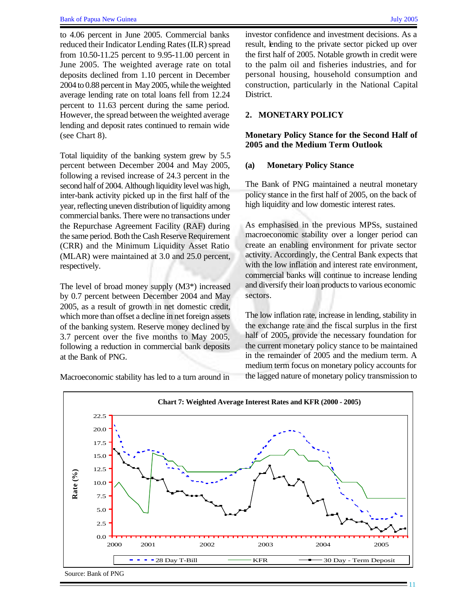to 4.06 percent in June 2005. Commercial banks reduced their Indicator Lending Rates (ILR) spread from 10.50-11.25 percent to 9.95-11.00 percent in June 2005. The weighted average rate on total deposits declined from 1.10 percent in December 2004 to 0.88 percent in May 2005, while the weighted average lending rate on total loans fell from 12.24 percent to 11.63 percent during the same period. However, the spread between the weighted average lending and deposit rates continued to remain wide (see Chart 8).

Total liquidity of the banking system grew by 5.5 percent between December 2004 and May 2005, following a revised increase of 24.3 percent in the second half of 2004. Although liquidity level was high, inter-bank activity picked up in the first half of the year, reflecting uneven distribution of liquidity among commercial banks. There were no transactions under the Repurchase Agreement Facility (RAF) during the same period. Both the Cash Reserve Requirement (CRR) and the Minimum Liquidity Asset Ratio (MLAR) were maintained at 3.0 and 25.0 percent, respectively.

The level of broad money supply (M3\*) increased by 0.7 percent between December 2004 and May 2005, as a result of growth in net domestic credit, which more than offset a decline in net foreign assets of the banking system. Reserve money declined by 3.7 percent over the five months to May 2005, following a reduction in commercial bank deposits at the Bank of PNG.

investor confidence and investment decisions. As a result, lending to the private sector picked up over the first half of 2005. Notable growth in credit were to the palm oil and fisheries industries, and for personal housing, household consumption and construction, particularly in the National Capital District.

# **2. MONETARY POLICY**

# **Monetary Policy Stance for the Second Half of 2005 and the Medium Term Outlook**

### **(a) Monetary Policy Stance**

The Bank of PNG maintained a neutral monetary policy stance in the first half of 2005, on the back of high liquidity and low domestic interest rates.

As emphasised in the previous MPSs, sustained macroeconomic stability over a longer period can create an enabling environment for private sector activity. Accordingly, the Central Bank expects that with the low inflation and interest rate environment, commercial banks will continue to increase lending and diversify their loan products to various economic sectors.

The low inflation rate, increase in lending, stability in the exchange rate and the fiscal surplus in the first half of 2005, provide the necessary foundation for the current monetary policy stance to be maintained in the remainder of 2005 and the medium term. A medium term focus on monetary policy accounts for the lagged nature of monetary policy transmission to



Macroeconomic stability has led to a turn around in

Source: Bank of PNG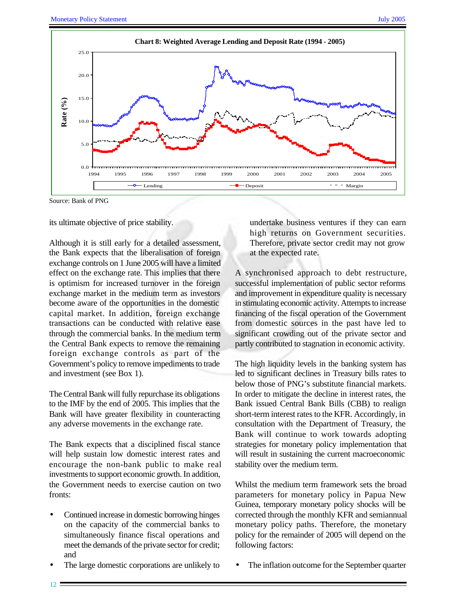

Source: Bank of PNG

its ultimate objective of price stability.

Although it is still early for a detailed assessment, the Bank expects that the liberalisation of foreign exchange controls on 1 June 2005 will have a limited effect on the exchange rate. This implies that there is optimism for increased turnover in the foreign exchange market in the medium term as investors become aware of the opportunities in the domestic capital market. In addition, foreign exchange transactions can be conducted with relative ease through the commercial banks. In the medium term the Central Bank expects to remove the remaining foreign exchange controls as part of the Government's policy to remove impediments to trade and investment (see Box 1).

The Central Bank will fully repurchase its obligations to the IMF by the end of 2005. This implies that the Bank will have greater flexibility in counteracting any adverse movements in the exchange rate.

The Bank expects that a disciplined fiscal stance will help sustain low domestic interest rates and encourage the non-bank public to make real investments to support economic growth. In addition, the Government needs to exercise caution on two fronts:

- Continued increase in domestic borrowing hinges on the capacity of the commercial banks to simultaneously finance fiscal operations and meet the demands of the private sector for credit; and
- The large domestic corporations are unlikely to

undertake business ventures if they can earn high returns on Government securities. Therefore, private sector credit may not grow at the expected rate.

A synchronised approach to debt restructure, successful implementation of public sector reforms and improvement in expenditure quality is necessary in stimulating economic activity. Attempts to increase financing of the fiscal operation of the Government from domestic sources in the past have led to significant crowding out of the private sector and partly contributed to stagnation in economic activity.

The high liquidity levels in the banking system has led to significant declines in Treasury bills rates to below those of PNG's substitute financial markets. In order to mitigate the decline in interest rates, the Bank issued Central Bank Bills (CBB) to realign short-term interest rates to the KFR. Accordingly, in consultation with the Department of Treasury, the Bank will continue to work towards adopting strategies for monetary policy implementation that will result in sustaining the current macroeconomic stability over the medium term.

Whilst the medium term framework sets the broad parameters for monetary policy in Papua New Guinea, temporary monetary policy shocks will be corrected through the monthly KFR and semiannual monetary policy paths. Therefore, the monetary policy for the remainder of 2005 will depend on the following factors:

The inflation outcome for the September quarter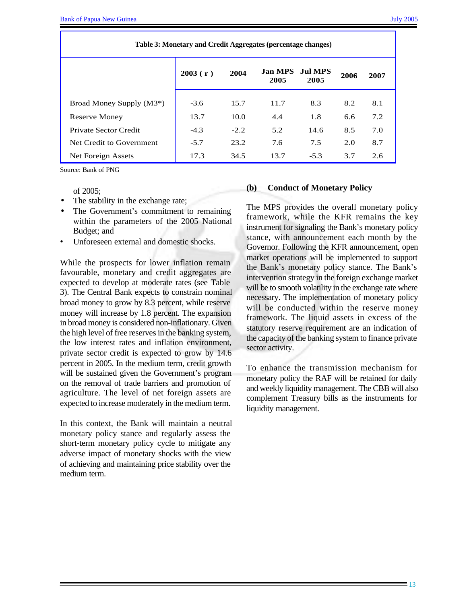| Table 3: Monetary and Credit Aggregates (percentage changes) |         |        |                        |                 |      |      |  |  |  |
|--------------------------------------------------------------|---------|--------|------------------------|-----------------|------|------|--|--|--|
|                                                              | 2003(r) | 2004   | <b>Jan MPS</b><br>2005 | Jul MPS<br>2005 | 2006 | 2007 |  |  |  |
| Broad Money Supply (M3 <sup>*</sup> )                        | $-3.6$  | 15.7   | 11.7                   | 8.3             | 8.2  | 8.1  |  |  |  |
| Reserve Money                                                | 13.7    | 10.0   | 4.4                    | 1.8             | 6.6  | 7.2  |  |  |  |
| Private Sector Credit                                        | $-4.3$  | $-2.2$ | 5.2                    | 14.6            | 8.5  | 7.0  |  |  |  |
| Net Credit to Government                                     | $-5.7$  | 23.2   | 7.6                    | 7.5             | 2.0  | 8.7  |  |  |  |
| Net Foreign Assets                                           | 17.3    | 34.5   | 13.7                   | $-5.3$          | 3.7  | 2.6  |  |  |  |

Source: Bank of PNG

of 2005;

- The stability in the exchange rate;
- The Government's commitment to remaining within the parameters of the 2005 National Budget; and
- Unforeseen external and domestic shocks.

While the prospects for lower inflation remain favourable, monetary and credit aggregates are expected to develop at moderate rates (see Table 3). The Central Bank expects to constrain nominal broad money to grow by 8.3 percent, while reserve money will increase by 1.8 percent. The expansion in broad money is considered non-inflationary. Given the high level of free reserves in the banking system, the low interest rates and inflation environment, private sector credit is expected to grow by 14.6 percent in 2005. In the medium term, credit growth will be sustained given the Government's program on the removal of trade barriers and promotion of agriculture. The level of net foreign assets are expected to increase moderately in the medium term.

In this context, the Bank will maintain a neutral monetary policy stance and regularly assess the short-term monetary policy cycle to mitigate any adverse impact of monetary shocks with the view of achieving and maintaining price stability over the medium term.

#### **(b) Conduct of Monetary Policy**

The MPS provides the overall monetary policy framework, while the KFR remains the key instrument for signaling the Bank's monetary policy stance, with announcement each month by the Governor. Following the KFR announcement, open market operations will be implemented to support the Bank's monetary policy stance. The Bank's intervention strategy in the foreign exchange market will be to smooth volatility in the exchange rate where necessary. The implementation of monetary policy will be conducted within the reserve money framework. The liquid assets in excess of the statutory reserve requirement are an indication of the capacity of the banking system to finance private sector activity.

To enhance the transmission mechanism for monetary policy the RAF will be retained for daily and weekly liquidity management. The CBB will also complement Treasury bills as the instruments for liquidity management.